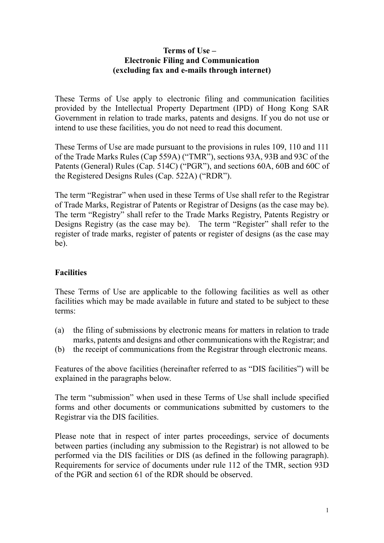#### **Terms of Use – Electronic Filing and Communication (excluding fax and e-mails through internet)**

These Terms of Use apply to electronic filing and communication facilities provided by the Intellectual Property Department (IPD) of Hong Kong SAR Government in relation to trade marks, patents and designs. If you do not use or intend to use these facilities, you do not need to read this document.

These Terms of Use are made pursuant to the provisions in rules 109, 110 and 111 of the Trade Marks Rules (Cap 559A) ("TMR"), sections 93A, 93B and 93C of the Patents (General) Rules (Cap. 514C) ("PGR"), and sections 60A, 60B and 60C of the Registered Designs Rules (Cap. 522A) ("RDR").

The term "Registrar" when used in these Terms of Use shall refer to the Registrar of Trade Marks, Registrar of Patents or Registrar of Designs (as the case may be). The term "Registry" shall refer to the Trade Marks Registry, Patents Registry or Designs Registry (as the case may be). The term "Register" shall refer to the register of trade marks, register of patents or register of designs (as the case may be).

## **Facilities**

These Terms of Use are applicable to the following facilities as well as other facilities which may be made available in future and stated to be subject to these terms:

- (a) the filing of submissions by electronic means for matters in relation to trade marks, patents and designs and other communications with the Registrar; and
- (b) the receipt of communications from the Registrar through electronic means.

Features of the above facilities (hereinafter referred to as "DIS facilities") will be explained in the paragraphs below.

The term "submission" when used in these Terms of Use shall include specified forms and other documents or communications submitted by customers to the Registrar via the DIS facilities.

Please note that in respect of inter partes proceedings, service of documents between parties (including any submission to the Registrar) is not allowed to be performed via the DIS facilities or DIS (as defined in the following paragraph). Requirements for service of documents under rule 112 of the TMR, section 93D of the PGR and section 61 of the RDR should be observed.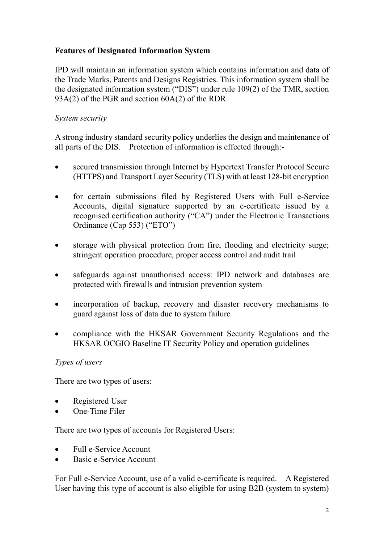## **Features of Designated Information System**

IPD will maintain an information system which contains information and data of the Trade Marks, Patents and Designs Registries. This information system shall be the designated information system ("DIS") under rule 109(2) of the TMR, section 93A(2) of the PGR and section 60A(2) of the RDR.

## *System security*

A strong industry standard security policy underlies the design and maintenance of all parts of the DIS. Protection of information is effected through:-

- secured transmission through Internet by Hypertext Transfer Protocol Secure (HTTPS) and Transport Layer Security (TLS) with at least 128-bit encryption
- for certain submissions filed by Registered Users with Full e-Service Accounts, digital signature supported by an e-certificate issued by a recognised certification authority ("CA") under the Electronic Transactions Ordinance (Cap 553) ("ETO")
- storage with physical protection from fire, flooding and electricity surge; stringent operation procedure, proper access control and audit trail
- safeguards against unauthorised access: IPD network and databases are protected with firewalls and intrusion prevention system
- incorporation of backup, recovery and disaster recovery mechanisms to guard against loss of data due to system failure
- compliance with the HKSAR Government Security Regulations and the HKSAR OCGIO Baseline IT Security Policy and operation guidelines

## *Types of users*

There are two types of users:

- Registered User
- One-Time Filer

There are two types of accounts for Registered Users:

- Full e-Service Account
- Basic e-Service Account

For Full e-Service Account, use of a valid e-certificate is required. A Registered User having this type of account is also eligible for using B2B (system to system)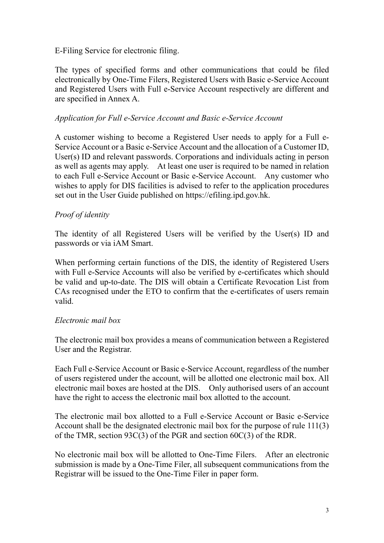E-Filing Service for electronic filing.

The types of specified forms and other communications that could be filed electronically by One-Time Filers, Registered Users with Basic e-Service Account and Registered Users with Full e-Service Account respectively are different and are specified in Annex A.

#### *Application for Full e-Service Account and Basic e-Service Account*

A customer wishing to become a Registered User needs to apply for a Full e-Service Account or a Basic e-Service Account and the allocation of a Customer ID, User(s) ID and relevant passwords. Corporations and individuals acting in person as well as agents may apply. At least one user is required to be named in relation to each Full e-Service Account or Basic e-Service Account. Any customer who wishes to apply for DIS facilities is advised to refer to the application procedures set out in the User Guide published on https://efiling.ipd.gov.hk.

## *Proof of identity*

The identity of all Registered Users will be verified by the User(s) ID and passwords or via iAM Smart.

When performing certain functions of the DIS, the identity of Registered Users with Full e-Service Accounts will also be verified by e-certificates which should be valid and up-to-date. The DIS will obtain a Certificate Revocation List from CAs recognised under the ETO to confirm that the e-certificates of users remain valid.

## *Electronic mail box*

The electronic mail box provides a means of communication between a Registered User and the Registrar.

Each Full e-Service Account or Basic e-Service Account, regardless of the number of users registered under the account, will be allotted one electronic mail box. All electronic mail boxes are hosted at the DIS. Only authorised users of an account have the right to access the electronic mail box allotted to the account.

The electronic mail box allotted to a Full e-Service Account or Basic e-Service Account shall be the designated electronic mail box for the purpose of rule 111(3) of the TMR, section 93C(3) of the PGR and section 60C(3) of the RDR.

No electronic mail box will be allotted to One-Time Filers. After an electronic submission is made by a One-Time Filer, all subsequent communications from the Registrar will be issued to the One-Time Filer in paper form.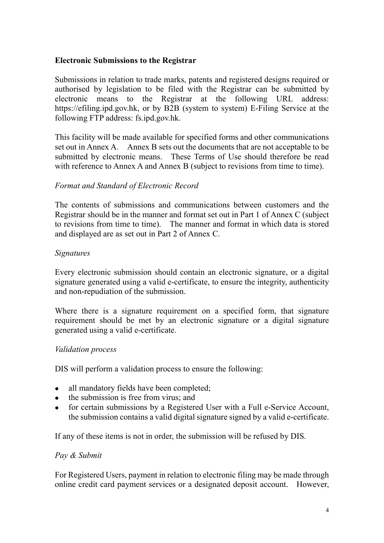## **Electronic Submissions to the Registrar**

Submissions in relation to trade marks, patents and registered designs required or authorised by legislation to be filed with the Registrar can be submitted by electronic means to the Registrar at the following URL address: https://efiling.ipd.gov.hk, or by B2B (system to system) E-Filing Service at the following FTP address: fs.ipd.gov.hk.

This facility will be made available for specified forms and other communications set out in Annex A. Annex B sets out the documents that are not acceptable to be submitted by electronic means. These Terms of Use should therefore be read with reference to Annex A and Annex B (subject to revisions from time to time).

#### *Format and Standard of Electronic Record*

The contents of submissions and communications between customers and the Registrar should be in the manner and format set out in Part 1 of Annex C (subject to revisions from time to time). The manner and format in which data is stored and displayed are as set out in Part 2 of Annex C.

#### *Signatures*

Every electronic submission should contain an electronic signature, or a digital signature generated using a valid e-certificate, to ensure the integrity, authenticity and non-repudiation of the submission.

Where there is a signature requirement on a specified form, that signature requirement should be met by an electronic signature or a digital signature generated using a valid e-certificate.

#### *Validation process*

DIS will perform a validation process to ensure the following:

- all mandatory fields have been completed;
- the submission is free from virus; and
- for certain submissions by a Registered User with a Full e-Service Account, the submission contains a valid digital signature signed by a valid e-certificate.

If any of these items is not in order, the submission will be refused by DIS.

#### *Pay & Submit*

For Registered Users, payment in relation to electronic filing may be made through online credit card payment services or a designated deposit account. However,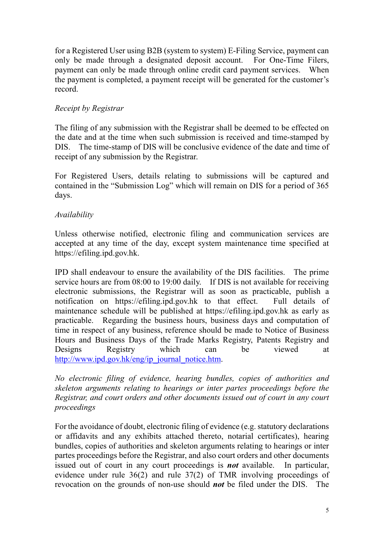for a Registered User using B2B (system to system) E-Filing Service, payment can only be made through a designated deposit account. For One-Time Filers, payment can only be made through online credit card payment services. When the payment is completed, a payment receipt will be generated for the customer's record.

## *Receipt by Registrar*

The filing of any submission with the Registrar shall be deemed to be effected on the date and at the time when such submission is received and time-stamped by DIS. The time-stamp of DIS will be conclusive evidence of the date and time of receipt of any submission by the Registrar.

For Registered Users, details relating to submissions will be captured and contained in the "Submission Log" which will remain on DIS for a period of 365 days.

## *Availability*

Unless otherwise notified, electronic filing and communication services are accepted at any time of the day, except system maintenance time specified at https://efiling.ipd.gov.hk.

IPD shall endeavour to ensure the availability of the DIS facilities. The prime service hours are from 08:00 to 19:00 daily. If DIS is not available for receiving electronic submissions, the Registrar will as soon as practicable, publish a notification on https://efiling.ipd.gov.hk to that effect. Full details of maintenance schedule will be published at https://efiling.ipd.gov.hk as early as practicable. Regarding the business hours, business days and computation of time in respect of any business, reference should be made to Notice of Business Hours and Business Days of the Trade Marks Registry, Patents Registry and Designs Registry which can be viewed at [http://www.ipd.gov.hk/eng/ip\\_journal\\_notice.htm.](http://www.ipd.gov.hk/eng/ip_journal_notice.htm)

*No electronic filing of evidence, hearing bundles, copies of authorities and skeleton arguments relating to hearings or inter partes proceedings before the Registrar, and court orders and other documents issued out of court in any court proceedings*

For the avoidance of doubt, electronic filing of evidence (e.g. statutory declarations or affidavits and any exhibits attached thereto, notarial certificates), hearing bundles, copies of authorities and skeleton arguments relating to hearings or inter partes proceedings before the Registrar, and also court orders and other documents issued out of court in any court proceedings is *not* available. In particular, evidence under rule 36(2) and rule 37(2) of TMR involving proceedings of revocation on the grounds of non-use should *not* be filed under the DIS. The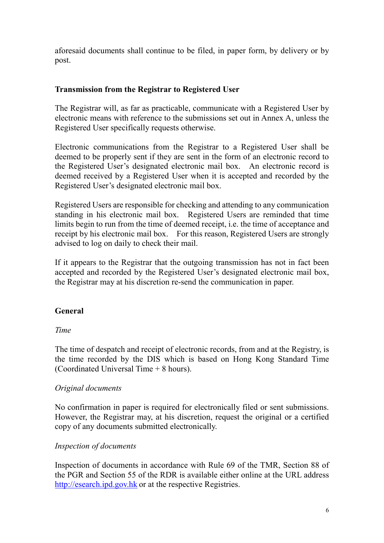aforesaid documents shall continue to be filed, in paper form, by delivery or by post.

## **Transmission from the Registrar to Registered User**

The Registrar will, as far as practicable, communicate with a Registered User by electronic means with reference to the submissions set out in Annex A, unless the Registered User specifically requests otherwise.

Electronic communications from the Registrar to a Registered User shall be deemed to be properly sent if they are sent in the form of an electronic record to the Registered User's designated electronic mail box. An electronic record is deemed received by a Registered User when it is accepted and recorded by the Registered User's designated electronic mail box.

Registered Users are responsible for checking and attending to any communication standing in his electronic mail box. Registered Users are reminded that time limits begin to run from the time of deemed receipt, i.e. the time of acceptance and receipt by his electronic mail box. For this reason, Registered Users are strongly advised to log on daily to check their mail.

If it appears to the Registrar that the outgoing transmission has not in fact been accepted and recorded by the Registered User's designated electronic mail box, the Registrar may at his discretion re-send the communication in paper.

# **General**

# *Time*

The time of despatch and receipt of electronic records, from and at the Registry, is the time recorded by the DIS which is based on Hong Kong Standard Time (Coordinated Universal Time + 8 hours).

## *Original documents*

No confirmation in paper is required for electronically filed or sent submissions. However, the Registrar may, at his discretion, request the original or a certified copy of any documents submitted electronically.

## *Inspection of documents*

Inspection of documents in accordance with Rule 69 of the TMR, Section 88 of the PGR and Section 55 of the RDR is available either online at the URL address [http://esearch.ipd.gov.hk](http://esearch.ipd.gov.hk/) or at the respective Registries.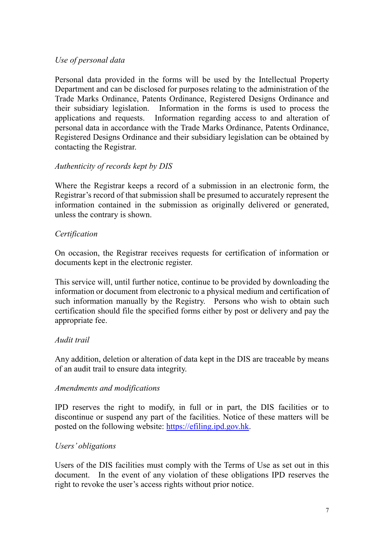## *Use of personal data*

Personal data provided in the forms will be used by the Intellectual Property Department and can be disclosed for purposes relating to the administration of the Trade Marks Ordinance, Patents Ordinance, Registered Designs Ordinance and their subsidiary legislation. Information in the forms is used to process the applications and requests. Information regarding access to and alteration of personal data in accordance with the Trade Marks Ordinance, Patents Ordinance, Registered Designs Ordinance and their subsidiary legislation can be obtained by contacting the Registrar.

## *Authenticity of records kept by DIS*

Where the Registrar keeps a record of a submission in an electronic form, the Registrar's record of that submission shall be presumed to accurately represent the information contained in the submission as originally delivered or generated, unless the contrary is shown.

## *Certification*

On occasion, the Registrar receives requests for certification of information or documents kept in the electronic register.

This service will, until further notice, continue to be provided by downloading the information or document from electronic to a physical medium and certification of such information manually by the Registry. Persons who wish to obtain such certification should file the specified forms either by post or delivery and pay the appropriate fee.

## *Audit trail*

Any addition, deletion or alteration of data kept in the DIS are traceable by means of an audit trail to ensure data integrity.

## *Amendments and modifications*

IPD reserves the right to modify, in full or in part, the DIS facilities or to discontinue or suspend any part of the facilities. Notice of these matters will be posted on the following website: [https://efiling.ipd.gov.hk.](https://efiling.ipd.gov.hk/)

## *Users' obligations*

Users of the DIS facilities must comply with the Terms of Use as set out in this document. In the event of any violation of these obligations IPD reserves the right to revoke the user's access rights without prior notice.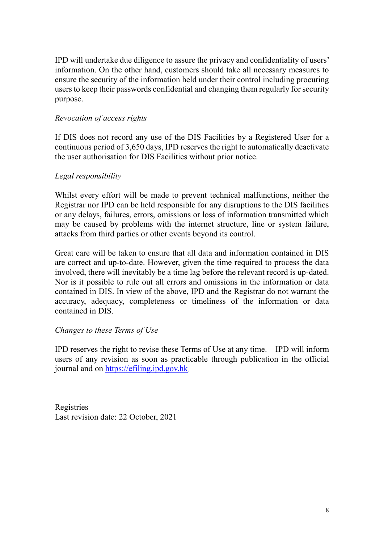IPD will undertake due diligence to assure the privacy and confidentiality of users' information. On the other hand, customers should take all necessary measures to ensure the security of the information held under their control including procuring users to keep their passwords confidential and changing them regularly for security purpose.

#### *Revocation of access rights*

If DIS does not record any use of the DIS Facilities by a Registered User for a continuous period of 3,650 days, IPD reserves the right to automatically deactivate the user authorisation for DIS Facilities without prior notice.

## *Legal responsibility*

Whilst every effort will be made to prevent technical malfunctions, neither the Registrar nor IPD can be held responsible for any disruptions to the DIS facilities or any delays, failures, errors, omissions or loss of information transmitted which may be caused by problems with the internet structure, line or system failure, attacks from third parties or other events beyond its control.

Great care will be taken to ensure that all data and information contained in DIS are correct and up-to-date. However, given the time required to process the data involved, there will inevitably be a time lag before the relevant record is up-dated. Nor is it possible to rule out all errors and omissions in the information or data contained in DIS. In view of the above, IPD and the Registrar do not warrant the accuracy, adequacy, completeness or timeliness of the information or data contained in DIS.

## *Changes to these Terms of Use*

IPD reserves the right to revise these Terms of Use at any time. IPD will inform users of any revision as soon as practicable through publication in the official journal and on [https://efiling.ipd.gov.hk.](https://efiling.ipd.gov.hk/)

Registries Last revision date: 22 October, 2021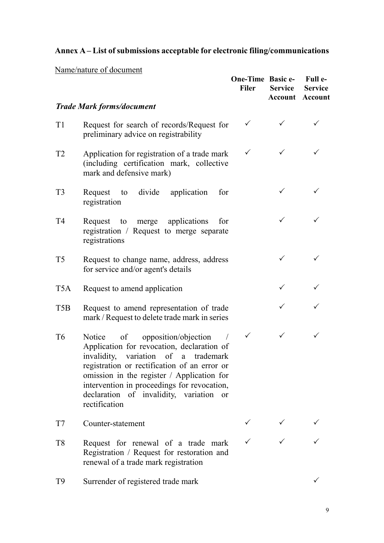# **Annex A – List of submissions acceptable for electronic filing/communications**

# Name/nature of document

|                |                                                                                                                                                                                                                                                                                                                                                   | One-Time Basic e-<br><b>Filer</b> | <b>Service</b><br>Account | Full e-<br><b>Service</b><br>Account |
|----------------|---------------------------------------------------------------------------------------------------------------------------------------------------------------------------------------------------------------------------------------------------------------------------------------------------------------------------------------------------|-----------------------------------|---------------------------|--------------------------------------|
|                | <b>Trade Mark forms/document</b>                                                                                                                                                                                                                                                                                                                  |                                   |                           |                                      |
| T <sub>1</sub> | Request for search of records/Request for<br>preliminary advice on registrability                                                                                                                                                                                                                                                                 | ✓                                 |                           |                                      |
| T <sub>2</sub> | Application for registration of a trade mark<br>(including certification mark, collective<br>mark and defensive mark)                                                                                                                                                                                                                             | $\checkmark$                      |                           |                                      |
| T <sub>3</sub> | to divide application<br>Request<br>for<br>registration                                                                                                                                                                                                                                                                                           |                                   | ✓                         |                                      |
| T <sub>4</sub> | merge applications<br>Request to<br>for<br>registration / Request to merge separate<br>registrations                                                                                                                                                                                                                                              |                                   | ✓                         |                                      |
| T <sub>5</sub> | Request to change name, address, address<br>for service and/or agent's details                                                                                                                                                                                                                                                                    |                                   | ✓                         |                                      |
| T5A            | Request to amend application                                                                                                                                                                                                                                                                                                                      |                                   |                           |                                      |
| T5B            | Request to amend representation of trade<br>mark / Request to delete trade mark in series                                                                                                                                                                                                                                                         |                                   |                           |                                      |
| T <sub>6</sub> | opposition/objection<br>Notice<br>of<br>Application for revocation, declaration of<br>invalidity, variation of a trademark<br>registration or rectification of an error or<br>omission in the register / Application for<br>intervention in proceedings for revocation,<br>declaration of invalidity, variation<br><sub>or</sub><br>rectification | $\checkmark$                      |                           |                                      |
| T7             | Counter-statement                                                                                                                                                                                                                                                                                                                                 |                                   |                           |                                      |
| T <sub>8</sub> | Request for renewal of a trade mark<br>Registration / Request for restoration and<br>renewal of a trade mark registration                                                                                                                                                                                                                         |                                   |                           |                                      |
| T9             | Surrender of registered trade mark                                                                                                                                                                                                                                                                                                                |                                   |                           |                                      |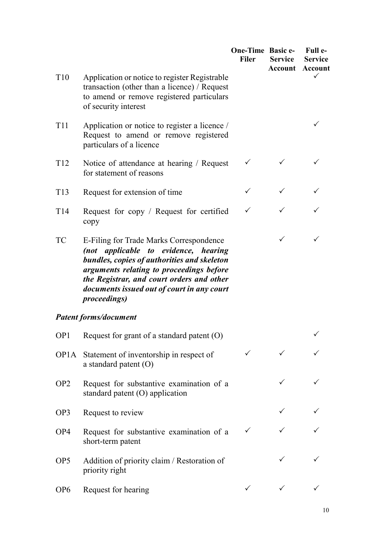|                   |                                                                                                                                                                                                                                                                                               | One-Time Basic e-<br><b>Filer</b> | <b>Service</b> | Full e-<br><b>Service</b><br><b>Account Account</b> |
|-------------------|-----------------------------------------------------------------------------------------------------------------------------------------------------------------------------------------------------------------------------------------------------------------------------------------------|-----------------------------------|----------------|-----------------------------------------------------|
| T <sub>10</sub>   | Application or notice to register Registrable<br>transaction (other than a licence) / Request<br>to amend or remove registered particulars<br>of security interest                                                                                                                            |                                   |                |                                                     |
| <b>T11</b>        | Application or notice to register a licence /<br>Request to amend or remove registered<br>particulars of a licence                                                                                                                                                                            |                                   |                |                                                     |
| T <sub>12</sub>   | Notice of attendance at hearing / Request<br>for statement of reasons                                                                                                                                                                                                                         | $\checkmark$                      |                |                                                     |
| T13               | Request for extension of time                                                                                                                                                                                                                                                                 | ✓                                 |                |                                                     |
| T <sub>14</sub>   | Request for copy / Request for certified<br>copy                                                                                                                                                                                                                                              | ✓                                 |                |                                                     |
| <b>TC</b>         | E-Filing for Trade Marks Correspondence<br>(not applicable to evidence, hearing<br>bundles, copies of authorities and skeleton<br>arguments relating to proceedings before<br>the Registrar, and court orders and other<br>documents issued out of court in any court<br><i>proceedings</i> ) |                                   | $\checkmark$   |                                                     |
|                   | <b>Patent forms/document</b>                                                                                                                                                                                                                                                                  |                                   |                |                                                     |
|                   | OP1 Request for grant of a standard patent (O)                                                                                                                                                                                                                                                |                                   |                |                                                     |
| OP <sub>1</sub> A | Statement of inventorship in respect of<br>a standard patent $(O)$                                                                                                                                                                                                                            |                                   |                |                                                     |
| OP <sub>2</sub>   | Request for substantive examination of a<br>standard patent (O) application                                                                                                                                                                                                                   |                                   |                |                                                     |
| OP <sub>3</sub>   | Request to review                                                                                                                                                                                                                                                                             |                                   |                |                                                     |
| OP4               | Request for substantive examination of a<br>short-term patent                                                                                                                                                                                                                                 | ✓                                 |                |                                                     |
| OP <sub>5</sub>   | Addition of priority claim / Restoration of<br>priority right                                                                                                                                                                                                                                 |                                   |                |                                                     |
| OP <sub>6</sub>   | Request for hearing                                                                                                                                                                                                                                                                           |                                   |                |                                                     |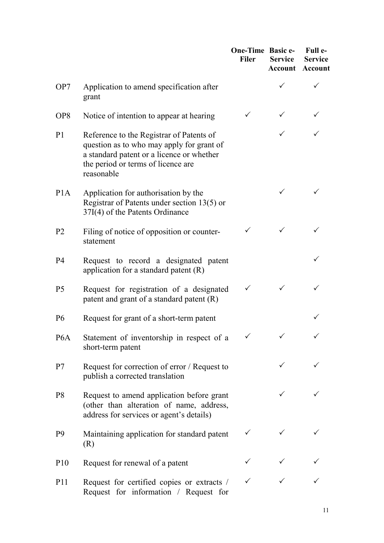|                  |                                                                                                                                                                                        | <b>One-Time Basic e-</b><br><b>Filer</b> | <b>Service</b> | Full e-<br><b>Service</b><br><b>Account Account</b> |
|------------------|----------------------------------------------------------------------------------------------------------------------------------------------------------------------------------------|------------------------------------------|----------------|-----------------------------------------------------|
| OP7              | Application to amend specification after<br>grant                                                                                                                                      |                                          |                |                                                     |
| OP <sub>8</sub>  | Notice of intention to appear at hearing                                                                                                                                               | ✓                                        |                |                                                     |
| P <sub>1</sub>   | Reference to the Registrar of Patents of<br>question as to who may apply for grant of<br>a standard patent or a licence or whether<br>the period or terms of licence are<br>reasonable |                                          |                |                                                     |
| P <sub>1</sub> A | Application for authorisation by the<br>Registrar of Patents under section $13(5)$ or<br>37I(4) of the Patents Ordinance                                                               |                                          | ✓              |                                                     |
| P <sub>2</sub>   | Filing of notice of opposition or counter-<br>statement                                                                                                                                | ✓                                        | ✓              |                                                     |
| P4               | Request to record a designated patent<br>application for a standard patent $(R)$                                                                                                       |                                          |                |                                                     |
| P <sub>5</sub>   | Request for registration of a designated<br>patent and grant of a standard patent $(R)$                                                                                                | ✓                                        |                |                                                     |
| P <sub>6</sub>   | Request for grant of a short-term patent                                                                                                                                               |                                          |                |                                                     |
| P <sub>6</sub> A | Statement of inventorship in respect of a $\checkmark$<br>short-term patent                                                                                                            |                                          | $\sqrt{ }$     |                                                     |
| P7               | Request for correction of error / Request to<br>publish a corrected translation                                                                                                        |                                          |                |                                                     |
| P <sub>8</sub>   | Request to amend application before grant<br>(other than alteration of name, address,<br>address for services or agent's details)                                                      |                                          | $\checkmark$   |                                                     |
| P <sub>9</sub>   | Maintaining application for standard patent<br>(R)                                                                                                                                     | ✓                                        |                |                                                     |
| P <sub>10</sub>  | Request for renewal of a patent                                                                                                                                                        |                                          |                |                                                     |
| P <sub>11</sub>  | Request for certified copies or extracts /<br>Request for information / Request for                                                                                                    |                                          |                |                                                     |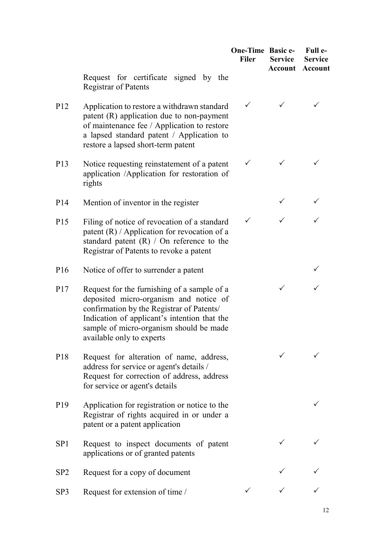|                 |                                                                                                                                                                                                                                                            | <b>One-Time Basic e-</b><br><b>Filer</b> | <b>Service</b> | Full e-<br><b>Service</b><br><b>Account Account</b> |
|-----------------|------------------------------------------------------------------------------------------------------------------------------------------------------------------------------------------------------------------------------------------------------------|------------------------------------------|----------------|-----------------------------------------------------|
|                 | Request for certificate signed by the<br><b>Registrar of Patents</b>                                                                                                                                                                                       |                                          |                |                                                     |
| P <sub>12</sub> | Application to restore a withdrawn standard<br>patent (R) application due to non-payment<br>of maintenance fee / Application to restore<br>a lapsed standard patent / Application to<br>restore a lapsed short-term patent                                 | $\checkmark$                             |                |                                                     |
| P <sub>13</sub> | Notice requesting reinstatement of a patent<br>application /Application for restoration of<br>rights                                                                                                                                                       | $\checkmark$                             | ✓              |                                                     |
| P <sub>14</sub> | Mention of inventor in the register                                                                                                                                                                                                                        |                                          |                |                                                     |
| P <sub>15</sub> | Filing of notice of revocation of a standard<br>patent $(R)$ / Application for revocation of a<br>standard patent $(R)$ / On reference to the<br>Registrar of Patents to revoke a patent                                                                   | ✓                                        |                |                                                     |
| P <sub>16</sub> | Notice of offer to surrender a patent                                                                                                                                                                                                                      |                                          |                |                                                     |
| P <sub>17</sub> | Request for the furnishing of a sample of a<br>deposited micro-organism and notice of<br>confirmation by the Registrar of Patents/<br>Indication of applicant's intention that the<br>sample of micro-organism should be made<br>available only to experts |                                          | $\checkmark$   |                                                     |
| P <sub>18</sub> | Request for alteration of name, address,<br>address for service or agent's details /<br>Request for correction of address, address<br>for service or agent's details                                                                                       |                                          |                |                                                     |
| P <sub>19</sub> | Application for registration or notice to the<br>Registrar of rights acquired in or under a<br>patent or a patent application                                                                                                                              |                                          |                |                                                     |
| SP <sub>1</sub> | Request to inspect documents of patent<br>applications or of granted patents                                                                                                                                                                               |                                          | ✓              |                                                     |
| SP <sub>2</sub> | Request for a copy of document                                                                                                                                                                                                                             |                                          |                |                                                     |
| SP3             | Request for extension of time /                                                                                                                                                                                                                            |                                          |                |                                                     |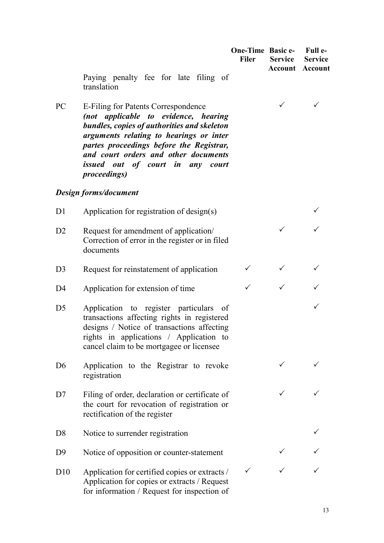| <b>One-Time Basic e-</b> | -Full e-        |
|--------------------------|-----------------|
| Filer                    | Service Service |
|                          | Account Account |

 $\checkmark$ 

 $\checkmark$ 

 $\checkmark$ 

 $\checkmark$  and  $\checkmark$ 

 $\checkmark$ 

Paying penalty fee for late filing of translation

PC E-Filing for Patents Correspondence *(not applicable to evidence, hearing bundles, copies of authorities and skeleton arguments relating to hearings or inter partes proceedings before the Registrar, and court orders and other documents issued out of court in any court proceedings)*

#### *Design forms/document*

D2 Request for amendment of application/ Correction of error in the register or in filed documents

D1 Application for registration of design(s)

- D3 Request for reinstatement of application  $\checkmark$
- D4 Application for extension of time
- D5 Application to register particulars of transactions affecting rights in registered designs / Notice of transactions affecting rights in applications / Application to cancel claim to be mortgagee or licensee
- D6 Application to the Registrar to revoke registration
- D7 Filing of order, declaration or certificate of the court for revocation of registration or rectification of the register
- D8 Notice to surrender registration
- D9 Notice of opposition or counter-statement  $\checkmark$
- D10 Application for certified copies or extracts / Application for copies or extracts / Request for information / Request for inspection of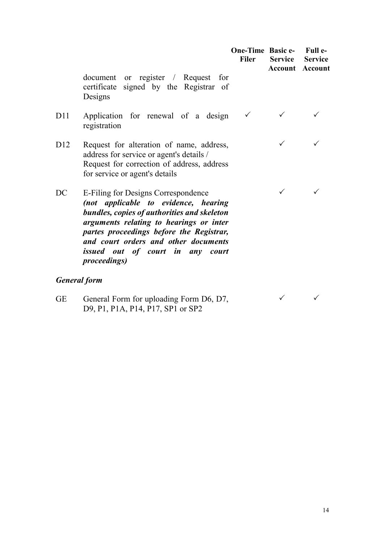|                     |                                                                                                                                                                                                                                                                                                                       | <b>One-Time Basic e-</b><br><b>Filer</b> | <b>Service</b> | Full e-<br><b>Service</b><br><b>Account Account</b> |
|---------------------|-----------------------------------------------------------------------------------------------------------------------------------------------------------------------------------------------------------------------------------------------------------------------------------------------------------------------|------------------------------------------|----------------|-----------------------------------------------------|
|                     | document or register / Request for<br>certificate signed by the Registrar of<br>Designs                                                                                                                                                                                                                               |                                          |                |                                                     |
| D11                 | Application for renewal of a design<br>registration                                                                                                                                                                                                                                                                   |                                          |                |                                                     |
| D12                 | Request for alteration of name, address,<br>address for service or agent's details /<br>Request for correction of address, address<br>for service or agent's details                                                                                                                                                  |                                          | $\checkmark$   | ✓                                                   |
| DC                  | E-Filing for Designs Correspondence<br>(not applicable to evidence, hearing<br>bundles, copies of authorities and skeleton<br>arguments relating to hearings or inter<br>partes proceedings before the Registrar,<br>and court orders and other documents<br>issued out of court in any court<br><i>proceedings</i> ) |                                          | $\checkmark$   |                                                     |
| <b>General form</b> |                                                                                                                                                                                                                                                                                                                       |                                          |                |                                                     |
| <b>GE</b>           | General Form for uploading Form D6, D7,                                                                                                                                                                                                                                                                               |                                          |                |                                                     |

GE General Form for uploading Form D6, D7, D9, P1, P1A, P14, P17, SP1 or SP2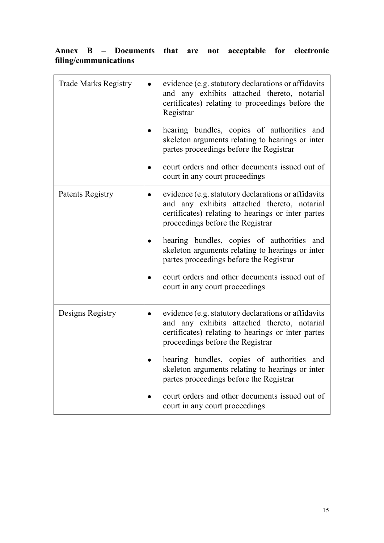# **Annex B – Documents that are not acceptable for electronic filing/communications**

| <b>Trade Marks Registry</b> | evidence (e.g. statutory declarations or affidavits<br>and any exhibits attached thereto, notarial<br>certificates) relating to proceedings before the<br>Registrar                          |
|-----------------------------|----------------------------------------------------------------------------------------------------------------------------------------------------------------------------------------------|
|                             | hearing bundles, copies of authorities and<br>skeleton arguments relating to hearings or inter<br>partes proceedings before the Registrar                                                    |
|                             | court orders and other documents issued out of<br>court in any court proceedings                                                                                                             |
| Patents Registry            | evidence (e.g. statutory declarations or affidavits<br>and any exhibits attached thereto, notarial<br>certificates) relating to hearings or inter partes<br>proceedings before the Registrar |
|                             | hearing bundles, copies of authorities and<br>skeleton arguments relating to hearings or inter<br>partes proceedings before the Registrar                                                    |
|                             | court orders and other documents issued out of<br>court in any court proceedings                                                                                                             |
| Designs Registry            | evidence (e.g. statutory declarations or affidavits<br>and any exhibits attached thereto, notarial<br>certificates) relating to hearings or inter partes<br>proceedings before the Registrar |
|                             | hearing bundles, copies of authorities and<br>skeleton arguments relating to hearings or inter<br>partes proceedings before the Registrar                                                    |
|                             | court orders and other documents issued out of<br>court in any court proceedings                                                                                                             |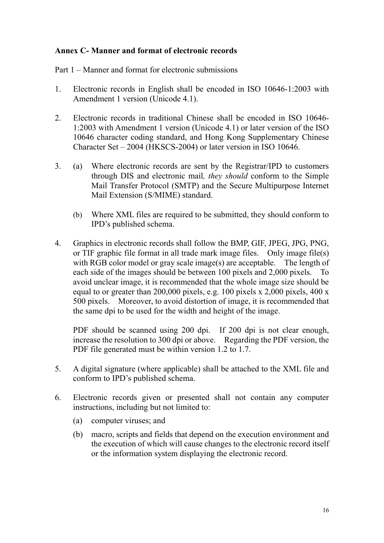## **Annex C- Manner and format of electronic records**

Part 1 – Manner and format for electronic submissions

- 1. Electronic records in English shall be encoded in ISO 10646-1:2003 with Amendment 1 version (Unicode 4.1).
- 2. Electronic records in traditional Chinese shall be encoded in ISO 10646- 1:2003 with Amendment 1 version (Unicode 4.1) or later version of the ISO 10646 character coding standard, and Hong Kong Supplementary Chinese Character Set – 2004 (HKSCS-2004) or later version in ISO 10646.
- 3. (a) Where electronic records are sent by the Registrar/IPD to customers through DIS and electronic mail*, they should* conform to the Simple Mail Transfer Protocol (SMTP) and the Secure Multipurpose Internet Mail Extension (S/MIME) standard.
	- (b) Where XML files are required to be submitted, they should conform to IPD's published schema.
- 4. Graphics in electronic records shall follow the BMP, GIF, JPEG, JPG, PNG, or TIF graphic file format in all trade mark image files. Only image file(s) with RGB color model or gray scale image(s) are acceptable. The length of each side of the images should be between 100 pixels and 2,000 pixels. To avoid unclear image, it is recommended that the whole image size should be equal to or greater than 200,000 pixels, e.g. 100 pixels x 2,000 pixels, 400 x 500 pixels. Moreover, to avoid distortion of image, it is recommended that the same dpi to be used for the width and height of the image.

PDF should be scanned using 200 dpi. If 200 dpi is not clear enough, increase the resolution to 300 dpi or above. Regarding the PDF version, the PDF file generated must be within version 1.2 to 1.7.

- 5. A digital signature (where applicable) shall be attached to the XML file and conform to IPD's published schema.
- 6. Electronic records given or presented shall not contain any computer instructions, including but not limited to:
	- (a) computer viruses; and
	- (b) macro, scripts and fields that depend on the execution environment and the execution of which will cause changes to the electronic record itself or the information system displaying the electronic record.